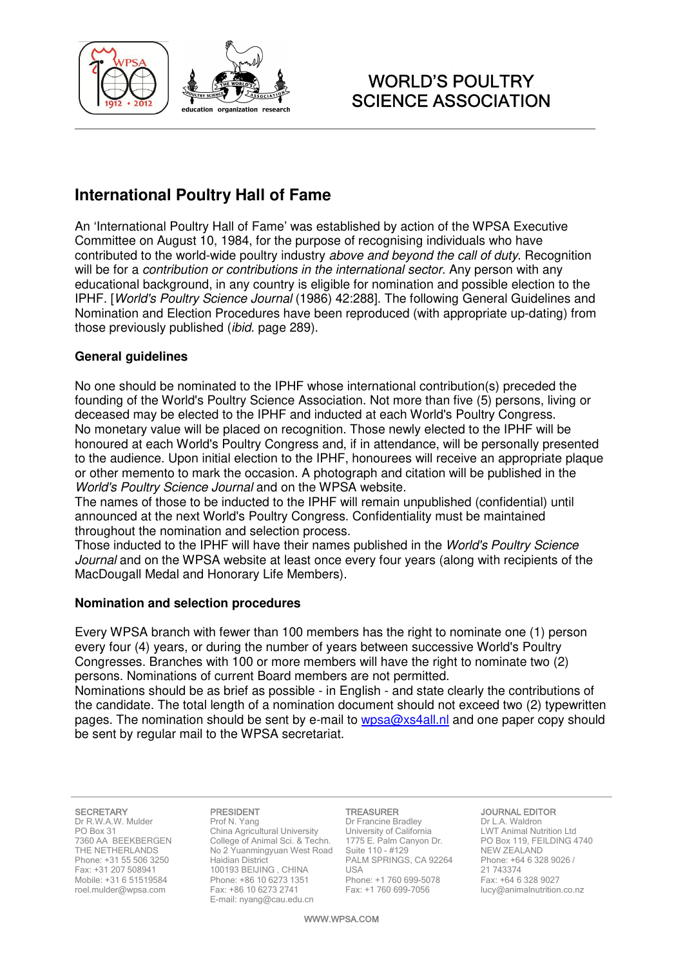

# WORLD'S POULTRY SCIENCE ASSOCIATION

# **International Poultry Hall of Fame**

An 'International Poultry Hall of Fame' was established by action of the WPSA Executive Committee on August 10, 1984, for the purpose of recognising individuals who have contributed to the world-wide poultry industry above and beyond the call of duty. Recognition will be for a contribution or contributions in the international sector. Any person with any educational background, in any country is eligible for nomination and possible election to the IPHF. [World's Poultry Science Journal (1986) 42:288]. The following General Guidelines and Nomination and Election Procedures have been reproduced (with appropriate up-dating) from those previously published (ibid. page 289).

### **General guidelines**

No one should be nominated to the IPHF whose international contribution(s) preceded the founding of the World's Poultry Science Association. Not more than five (5) persons, living or deceased may be elected to the IPHF and inducted at each World's Poultry Congress. No monetary value will be placed on recognition. Those newly elected to the IPHF will be honoured at each World's Poultry Congress and, if in attendance, will be personally presented to the audience. Upon initial election to the IPHF, honourees will receive an appropriate plaque or other memento to mark the occasion. A photograph and citation will be published in the World's Poultry Science Journal and on the WPSA website.

The names of those to be inducted to the IPHF will remain unpublished (confidential) until announced at the next World's Poultry Congress. Confidentiality must be maintained throughout the nomination and selection process.

Those inducted to the IPHF will have their names published in the World's Poultry Science Journal and on the WPSA website at least once every four years (along with recipients of the MacDougall Medal and Honorary Life Members).

### **Nomination and selection procedures**

Every WPSA branch with fewer than 100 members has the right to nominate one (1) person every four (4) years, or during the number of years between successive World's Poultry Congresses. Branches with 100 or more members will have the right to nominate two (2) persons. Nominations of current Board members are not permitted.

Nominations should be as brief as possible - in English - and state clearly the contributions of the candidate. The total length of a nomination document should not exceed two (2) typewritten pages. The nomination should be sent by e-mail to  $wpsa@xs4al$ . In and one paper copy should be sent by regular mail to the WPSA secretariat.

#### SECRETARY

Dr R.W.A.W. Mulder PO Box 31 7360 AA BEEKBERGEN THE NETHERLANDS Phone: +31 55 506 3250 Fax: +31 207 508941 Mobile: +31 6 51519584 roel.mulder@wpsa.com

#### PRESIDENT

Prof N. Yang China Agricultural University College of Animal Sci. & Techn. No 2 Yuanmingyuan West Road Haidian District 100193 BEIJING , CHINA Phone: +86 10 6273 1351 Fax: +86 10 6273 2741 E-mail: nyang@cau.edu.cn

#### TREASURER Dr Francine Bradley

University of California 1775 E. Palm Canyon Dr. Suite 110 - #129 PALM SPRINGS, CA 92264 **LISA** Phone: +1 760 699-5078 Fax: +1 760 699-7056

#### JOURNAL EDITOR

Dr L.A. Waldron LWT Animal Nutrition Ltd PO Box 119, FEILDING 4740 NEW ZEALAND Phone: +64 6 328 9026 / 21 743374 Fax: +64 6 328 9027 lucy@animalnutrition.co.nz

WWW.WPSA.COM